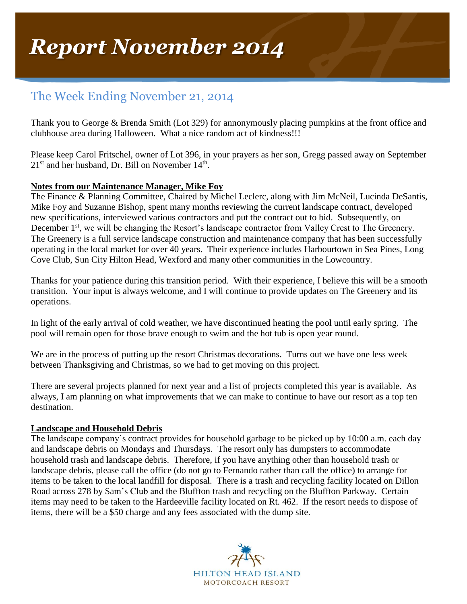# The Week Ending November 21, 2014

Thank you to George & Brenda Smith (Lot 329) for annonymously placing pumpkins at the front office and clubhouse area during Halloween. What a nice random act of kindness!!!

Please keep Carol Fritschel, owner of Lot 396, in your prayers as her son, Gregg passed away on September  $21<sup>st</sup>$  and her husband, Dr. Bill on November  $14<sup>th</sup>$ .

## **Notes from our Maintenance Manager, Mike Foy**

The Finance & Planning Committee, Chaired by Michel Leclerc, along with Jim McNeil, Lucinda DeSantis, Mike Foy and Suzanne Bishop, spent many months reviewing the current landscape contract, developed new specifications, interviewed various contractors and put the contract out to bid. Subsequently, on December 1<sup>st</sup>, we will be changing the Resort's landscape contractor from Valley Crest to The Greenery. The Greenery is a full service landscape construction and maintenance company that has been successfully operating in the local market for over 40 years. Their experience includes Harbourtown in Sea Pines, Long Cove Club, Sun City Hilton Head, Wexford and many other communities in the Lowcountry.

Thanks for your patience during this transition period. With their experience, I believe this will be a smooth transition. Your input is always welcome, and I will continue to provide updates on The Greenery and its operations.

In light of the early arrival of cold weather, we have discontinued heating the pool until early spring. The pool will remain open for those brave enough to swim and the hot tub is open year round.

We are in the process of putting up the resort Christmas decorations. Turns out we have one less week between Thanksgiving and Christmas, so we had to get moving on this project.

There are several projects planned for next year and a list of projects completed this year is available. As always, I am planning on what improvements that we can make to continue to have our resort as a top ten destination.

### **Landscape and Household Debris**

The landscape company's contract provides for household garbage to be picked up by 10:00 a.m. each day and landscape debris on Mondays and Thursdays. The resort only has dumpsters to accommodate household trash and landscape debris. Therefore, if you have anything other than household trash or landscape debris, please call the office (do not go to Fernando rather than call the office) to arrange for items to be taken to the local landfill for disposal. There is a trash and recycling facility located on Dillon Road across 278 by Sam's Club and the Bluffton trash and recycling on the Bluffton Parkway. Certain items may need to be taken to the Hardeeville facility located on Rt. 462. If the resort needs to dispose of items, there will be a \$50 charge and any fees associated with the dump site.

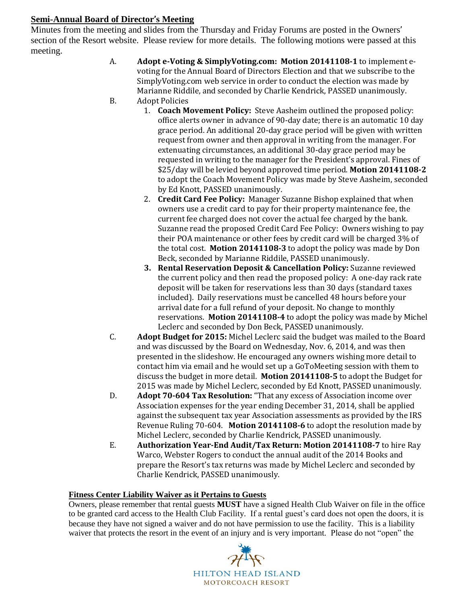### **Semi-Annual Board of Director's Meeting**

Minutes from the meeting and slides from the Thursday and Friday Forums are posted in the Owners' section of the Resort website. Please review for more details. The following motions were passed at this meeting.

- A. **Adopt e-Voting & SimplyVoting.com: Motion 20141108-1** to implement evoting for the Annual Board of Directors Election and that we subscribe to the SimplyVoting.com web service in order to conduct the election was made by Marianne Riddile, and seconded by Charlie Kendrick, PASSED unanimously. B. Adopt Policies
	- 1. **Coach Movement Policy:** Steve Aasheim outlined the proposed policy: office alerts owner in advance of 90-day date; there is an automatic 10 day grace period. An additional 20-day grace period will be given with written request from owner and then approval in writing from the manager. For extenuating circumstances, an additional 30-day grace period may be requested in writing to the manager for the President's approval. Fines of \$25/day will be levied beyond approved time period. **Motion 20141108-2** to adopt the Coach Movement Policy was made by Steve Aasheim, seconded by Ed Knott, PASSED unanimously.
	- 2. **Credit Card Fee Policy:** Manager Suzanne Bishop explained that when owners use a credit card to pay for their property maintenance fee, the current fee charged does not cover the actual fee charged by the bank. Suzanne read the proposed Credit Card Fee Policy: Owners wishing to pay their POA maintenance or other fees by credit card will be charged 3% of the total cost. **Motion 20141108-3** to adopt the policy was made by Don Beck, seconded by Marianne Riddile, PASSED unanimously.
	- **3. Rental Reservation Deposit & Cancellation Policy:** Suzanne reviewed the current policy and then read the proposed policy: A one-day rack rate deposit will be taken for reservations less than 30 days (standard taxes included). Daily reservations must be cancelled 48 hours before your arrival date for a full refund of your deposit. No change to monthly reservations. **Motion 20141108-4** to adopt the policy was made by Michel Leclerc and seconded by Don Beck, PASSED unanimously.
- C. **Adopt Budget for 2015:** Michel Leclerc said the budget was mailed to the Board and was discussed by the Board on Wednesday, Nov. 6, 2014, and was then presented in the slideshow. He encouraged any owners wishing more detail to contact him via email and he would set up a GoToMeeting session with them to discuss the budget in more detail. **Motion 20141108-5** to adopt the Budget for 2015 was made by Michel Leclerc, seconded by Ed Knott, PASSED unanimously.
- D. **Adopt 70-604 Tax Resolution:** "That any excess of Association income over Association expenses for the year ending December 31, 2014, shall be applied against the subsequent tax year Association assessments as provided by the IRS Revenue Ruling 70-604. **Motion 20141108-6** to adopt the resolution made by Michel Leclerc, seconded by Charlie Kendrick, PASSED unanimously.
- E. **Authorization Year-End Audit/Tax Return: Motion 20141108-7** to hire Ray Warco, Webster Rogers to conduct the annual audit of the 2014 Books and prepare the Resort's tax returns was made by Michel Leclerc and seconded by Charlie Kendrick, PASSED unanimously.

### **Fitness Center Liability Waiver as it Pertains to Guests**

Owners, please remember that rental guests **MUST** have a signed Health Club Waiver on file in the office to be granted card access to the Health Club Facility. If a rental guest's card does not open the doors, it is because they have not signed a waiver and do not have permission to use the facility. This is a liability waiver that protects the resort in the event of an injury and is very important. Please do not "open" the